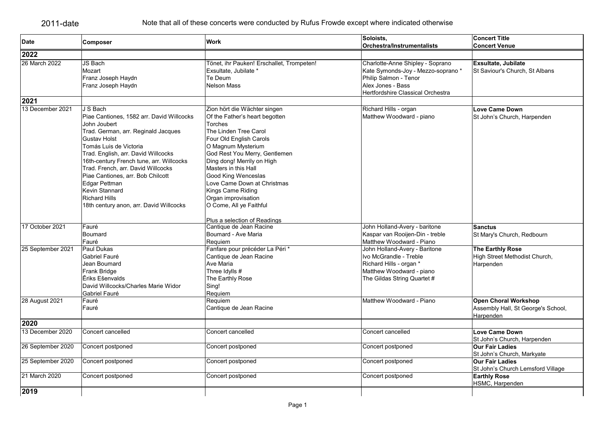| <b>Date</b>       | Composer                                                                                                                                                                                                                                                                                                                                                                                                                          | <b>Work</b>                                                                                                                                                                                                                                                                                                                                                                                                    | Soloists,<br>Orchestra/Instrumentalists                                                                                                                   | <b>Concert Title</b><br><b>Concert Venue</b>                                   |
|-------------------|-----------------------------------------------------------------------------------------------------------------------------------------------------------------------------------------------------------------------------------------------------------------------------------------------------------------------------------------------------------------------------------------------------------------------------------|----------------------------------------------------------------------------------------------------------------------------------------------------------------------------------------------------------------------------------------------------------------------------------------------------------------------------------------------------------------------------------------------------------------|-----------------------------------------------------------------------------------------------------------------------------------------------------------|--------------------------------------------------------------------------------|
| 2022              |                                                                                                                                                                                                                                                                                                                                                                                                                                   |                                                                                                                                                                                                                                                                                                                                                                                                                |                                                                                                                                                           |                                                                                |
| 26 March 2022     | JS Bach<br>Mozart<br>Franz Joseph Haydn<br>Franz Joseph Haydn                                                                                                                                                                                                                                                                                                                                                                     | Tönet, ihr Pauken! Erschallet, Trompeten!<br>Exsultate, Jubilate *<br>Te Deum<br>Nelson Mass                                                                                                                                                                                                                                                                                                                   | Charlotte-Anne Shipley - Soprano<br>Kate Symonds-Joy - Mezzo-soprano *<br>Philip Salmon - Tenor<br>Alex Jones - Bass<br>Hertfordshire Classical Orchestra | Exsultate, Jubilate<br>St Saviour's Church, St Albans                          |
| 2021              |                                                                                                                                                                                                                                                                                                                                                                                                                                   |                                                                                                                                                                                                                                                                                                                                                                                                                |                                                                                                                                                           |                                                                                |
| 13 December 2021  | J S Bach<br>Piae Cantiones, 1582 arr. David Willcocks<br>John Joubert<br>Trad. German, arr. Reginald Jacques<br><b>Gustav Holst</b><br>Tomás Luis de Victoria<br>Trad. English, arr. David Willcocks<br>16th-century French tune, arr. Willcocks<br>Trad. French, arr. David Willcocks<br>Piae Cantiones, arr. Bob Chilcott<br>Edgar Pettman<br>Kevin Stannard<br><b>Richard Hills</b><br>18th century anon, arr. David Willcocks | Zion hört die Wächter singen<br>Of the Father's heart begotten<br><b>Torches</b><br>The Linden Tree Carol<br>Four Old English Carols<br>O Magnum Mysterium<br>God Rest You Merry, Gentlemen<br>Ding dong! Merrily on High<br>Masters in this Hall<br>Good King Wenceslas<br>Love Came Down at Christmas<br>Kings Came Riding<br>Organ improvisation<br>O Come, All ye Faithful<br>Plus a selection of Readings | Richard Hills - organ<br>Matthew Woodward - piano                                                                                                         | <b>Love Came Down</b><br>St John's Church, Harpenden                           |
| 17 October 2021   | Fauré<br>Boumard<br>Fauré                                                                                                                                                                                                                                                                                                                                                                                                         | Cantique de Jean Racine<br>Boumard - Ave Maria<br>Requiem                                                                                                                                                                                                                                                                                                                                                      | John Holland-Avery - baritone<br>Kaspar van Rooijen-Din - treble<br>Matthew Woodward - Piano                                                              | <b>Sanctus</b><br>St Mary's Church, Redbourn                                   |
| 25 September 2021 | Paul Dukas<br>Gabriel Fauré<br>Jean Boumard<br>Frank Bridge<br>Ēriks Ešenvalds<br>David Willcocks/Charles Marie Widor<br>Gabriel Fauré                                                                                                                                                                                                                                                                                            | Fanfare pour précéder La Péri*<br>Cantique de Jean Racine<br>Ave Maria<br>Three Idylls #<br>The Earthly Rose<br>Sing!<br>Requiem                                                                                                                                                                                                                                                                               | John Holland-Avery - Baritone<br>Ivo McGrandle - Treble<br>Richard Hills - organ *<br>Matthew Woodward - piano<br>The Gildas String Quartet #             | The Earthly Rose<br>High Street Methodist Church,<br>Harpenden                 |
| 28 August 2021    | Fauré<br>Fauré                                                                                                                                                                                                                                                                                                                                                                                                                    | Requiem<br>Cantique de Jean Racine                                                                                                                                                                                                                                                                                                                                                                             | Matthew Woodward - Piano                                                                                                                                  | <b>Open Choral Workshop</b><br>Assembly Hall, St George's School,<br>Harpenden |
| 2020              |                                                                                                                                                                                                                                                                                                                                                                                                                                   |                                                                                                                                                                                                                                                                                                                                                                                                                |                                                                                                                                                           |                                                                                |
| 13 December 2020  | Concert cancelled                                                                                                                                                                                                                                                                                                                                                                                                                 | Concert cancelled                                                                                                                                                                                                                                                                                                                                                                                              | Concert cancelled                                                                                                                                         | Love Came Down<br>St John's Church, Harpenden                                  |
| 26 September 2020 | Concert postponed                                                                                                                                                                                                                                                                                                                                                                                                                 | Concert postponed                                                                                                                                                                                                                                                                                                                                                                                              | Concert postponed                                                                                                                                         | <b>Our Fair Ladies</b><br>St John's Church, Markyate                           |
| 25 September 2020 | Concert postponed                                                                                                                                                                                                                                                                                                                                                                                                                 | Concert postponed                                                                                                                                                                                                                                                                                                                                                                                              | Concert postponed                                                                                                                                         | <b>Our Fair Ladies</b><br>St John's Church Lemsford Village                    |
| 21 March 2020     | Concert postponed                                                                                                                                                                                                                                                                                                                                                                                                                 | Concert postponed                                                                                                                                                                                                                                                                                                                                                                                              | Concert postponed                                                                                                                                         | <b>Earthly Rose</b><br>HSMC, Harpenden                                         |
| 2019              |                                                                                                                                                                                                                                                                                                                                                                                                                                   |                                                                                                                                                                                                                                                                                                                                                                                                                |                                                                                                                                                           |                                                                                |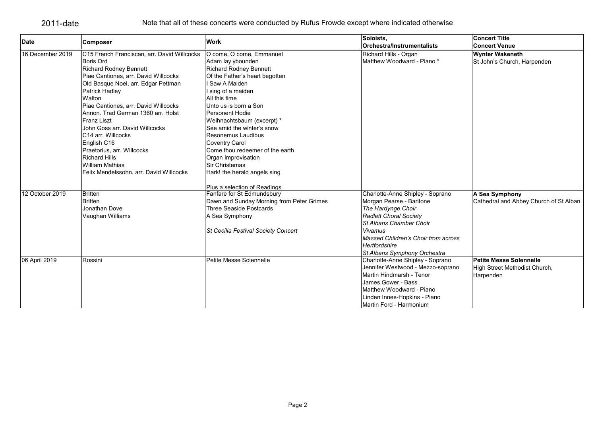|                  |                                             |                                           | Soloists.                           | <b>Concert Title</b>                   |
|------------------|---------------------------------------------|-------------------------------------------|-------------------------------------|----------------------------------------|
| Date             | Composer                                    | <b>Work</b>                               | Orchestra/Instrumentalists          | <b>Concert Venue</b>                   |
| 16 December 2019 | C15 French Franciscan, arr. David Willcocks | O come, O come, Emmanuel                  | Richard Hills - Organ               | <b>Wynter Wakeneth</b>                 |
|                  | Boris Ord                                   | Adam lay ybounden                         | Matthew Woodward - Piano *          | St John's Church, Harpenden            |
|                  | <b>Richard Rodney Bennett</b>               | <b>Richard Rodney Bennett</b>             |                                     |                                        |
|                  | Piae Cantiones, arr. David Willcocks        | Of the Father's heart begotten            |                                     |                                        |
|                  | Old Basque Noel, arr. Edgar Pettman         | Saw A Maiden                              |                                     |                                        |
|                  | Patrick Hadley                              | I sing of a maiden                        |                                     |                                        |
|                  | Walton                                      | All this time                             |                                     |                                        |
|                  | Piae Cantiones, arr. David Willcocks        | Unto us is born a Son                     |                                     |                                        |
|                  | Annon. Trad German 1360 arr. Holst          | Personent Hodie                           |                                     |                                        |
|                  | <b>Franz Liszt</b>                          | Weihnachtsbaum (excerpt) *                |                                     |                                        |
|                  | John Goss arr. David Willcocks              | See amid the winter's snow                |                                     |                                        |
|                  | C14 arr. Willcocks                          | Resonemus Laudibus                        |                                     |                                        |
|                  | English C16                                 | <b>Coventry Carol</b>                     |                                     |                                        |
|                  | Praetorius, arr. Willcocks                  | Come thou redeemer of the earth           |                                     |                                        |
|                  | <b>Richard Hills</b>                        | Organ Improvisation                       |                                     |                                        |
|                  | <b>William Mathias</b>                      | Sir Christemas                            |                                     |                                        |
|                  | Felix Mendelssohn, arr. David Willcocks     | Hark! the herald angels sing              |                                     |                                        |
|                  |                                             | Plus a selection of Readings              |                                     |                                        |
| 12 October 2019  | <b>Britten</b>                              | Fanfare for St Edmundsbury                | Charlotte-Anne Shipley - Soprano    | A Sea Symphony                         |
|                  | <b>Britten</b>                              | Dawn and Sunday Morning from Peter Grimes | Morgan Pearse - Baritone            | Cathedral and Abbey Church of St Alban |
|                  | Jonathan Dove                               | Three Seaside Postcards                   | The Hardynge Choir                  |                                        |
|                  | Vaughan Williams                            | A Sea Symphony                            | Radlett Choral Society              |                                        |
|                  |                                             |                                           | St Albans Chamber Choir             |                                        |
|                  |                                             | St Cecilia Festival Society Concert       | Vivamus                             |                                        |
|                  |                                             |                                           | Massed Children's Choir from across |                                        |
|                  |                                             |                                           | Hertfordshire                       |                                        |
|                  |                                             |                                           | St Albans Symphony Orchestra        |                                        |
| 06 April 2019    | Rossini                                     | Petite Messe Solennelle                   | Charlotte-Anne Shipley - Soprano    | <b>Petite Messe Solennelle</b>         |
|                  |                                             |                                           | Jennifer Westwood - Mezzo-soprano   | High Street Methodist Church,          |
|                  |                                             |                                           | Martin Hindmarsh - Tenor            | Harpenden                              |
|                  |                                             |                                           | James Gower - Bass                  |                                        |
|                  |                                             |                                           | Matthew Woodward - Piano            |                                        |
|                  |                                             |                                           | Linden Innes-Hopkins - Piano        |                                        |
|                  |                                             |                                           | Martin Ford - Harmonium             |                                        |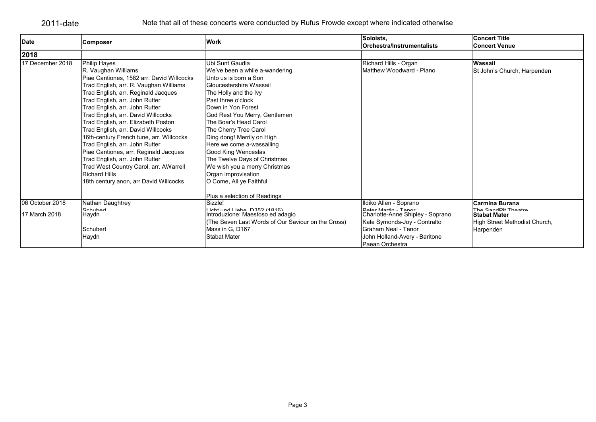| <b>Date</b>      | <b>Composer</b>                           | <b>Work</b>                                        | Soloists,<br><b>Orchestra/Instrumentalists</b> | <b>Concert Title</b><br><b>Concert Venue</b> |
|------------------|-------------------------------------------|----------------------------------------------------|------------------------------------------------|----------------------------------------------|
| 2018             |                                           |                                                    |                                                |                                              |
| 17 December 2018 | <b>Philip Hayes</b>                       | Ubi Sunt Gaudia                                    | Richard Hills - Organ                          | Wassail                                      |
|                  | R. Vaughan Williams                       | We've been a while a-wandering                     | Matthew Woodward - Piano                       | St John's Church, Harpenden                  |
|                  | Piae Cantiones, 1582 arr. David Willcocks | Unto us is born a Son                              |                                                |                                              |
|                  | Trad English, arr. R. Vaughan Williams    | Gloucestershire Wassail                            |                                                |                                              |
|                  | Trad English, arr. Reginald Jacques       | The Holly and the Ivy                              |                                                |                                              |
|                  | Trad English, arr. John Rutter            | Past three o'clock                                 |                                                |                                              |
|                  | Trad English, arr. John Rutter            | Down in Yon Forest                                 |                                                |                                              |
|                  | Trad English, arr. David Willcocks        | God Rest You Merry, Gentlemen                      |                                                |                                              |
|                  | Trad English, arr. Elizabeth Poston       | The Boar's Head Carol                              |                                                |                                              |
|                  | Trad English, arr. David Willcocks        | The Cherry Tree Carol                              |                                                |                                              |
|                  | 16th-century French tune, arr. Willcocks  | Ding dong! Merrily on High                         |                                                |                                              |
|                  | Trad English, arr. John Rutter            | Here we come a-wassailing                          |                                                |                                              |
|                  | Piae Cantiones, arr. Reginald Jacques     | Good King Wenceslas                                |                                                |                                              |
|                  | Trad English, arr. John Rutter            | The Twelve Days of Christmas                       |                                                |                                              |
|                  | Trad West Country Carol, arr. AWarrell    | We wish you a merry Christmas                      |                                                |                                              |
|                  | <b>Richard Hills</b>                      | Organ improvisation                                |                                                |                                              |
|                  | 18th century anon, arr David Willcocks    | O Come, All ye Faithful                            |                                                |                                              |
|                  |                                           | Plus a selection of Readings                       |                                                |                                              |
| 06 October 2018  | Nathan Daughtrey                          | Sizzle!                                            | Ildiko Allen - Soprano                         | <b>Carmina Burana</b>                        |
|                  | Schubert                                  | Licht und Liebe D352 (1816)                        | Dotor Mortin Tonor                             | The CondDit Theatre                          |
| 17 March 2018    | Haydn                                     | Introduzione: Maestoso ed adagio                   | Charlotte-Anne Shipley - Soprano               | <b>Stabat Mater</b>                          |
|                  |                                           | (The Seven Last Words of Our Saviour on the Cross) | Kate Symonds-Joy - Contralto                   | High Street Methodist Church,                |
|                  | Schubert                                  | Mass in G. D167                                    | lGraham Neal - Tenor                           | Harpenden                                    |
|                  | Haydn                                     | <b>Stabat Mater</b>                                | John Holland-Avery - Baritone                  |                                              |
|                  |                                           |                                                    | lPaean Orchestra                               |                                              |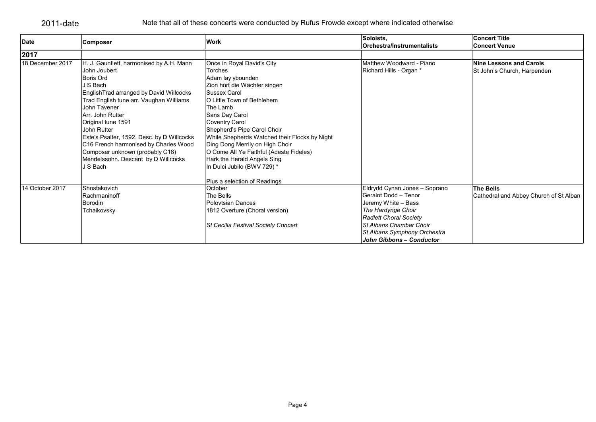| <b>Date</b>      | <b>Composer</b>                            | Work                                          | Soloists,                           | <b>Concert Title</b>                   |
|------------------|--------------------------------------------|-----------------------------------------------|-------------------------------------|----------------------------------------|
|                  |                                            |                                               | Orchestra/Instrumentalists          | <b>Concert Venue</b>                   |
| 2017             |                                            |                                               |                                     |                                        |
| 18 December 2017 | H. J. Gauntlett, harmonised by A.H. Mann   | Once in Royal David's City                    | Matthew Woodward - Piano            | Nine Lessons and Carols                |
|                  | John Joubert                               | <b>Torches</b>                                | Richard Hills - Organ *             | St John's Church, Harpenden            |
|                  | Boris Ord                                  | Adam lay ybounden                             |                                     |                                        |
|                  | J S Bach                                   | Zion hört die Wächter singen                  |                                     |                                        |
|                  | EnglishTrad arranged by David Willcocks    | Sussex Carol                                  |                                     |                                        |
|                  | Trad English tune arr. Vaughan Williams    | O Little Town of Bethlehem                    |                                     |                                        |
|                  | John Tavener                               | The Lamb                                      |                                     |                                        |
|                  | Arr. John Rutter                           | Sans Day Carol                                |                                     |                                        |
|                  | Original tune 1591                         | <b>Coventry Carol</b>                         |                                     |                                        |
|                  | John Rutter                                | Shepherd's Pipe Carol Choir                   |                                     |                                        |
|                  | Este's Psalter, 1592. Desc. by D Willcocks | While Shepherds Watched their Flocks by Night |                                     |                                        |
|                  | C16 French harmonised by Charles Wood      | Ding Dong Merrily on High Choir               |                                     |                                        |
|                  | Composer unknown (probably C18)            | O Come All Ye Faithful (Adeste Fideles)       |                                     |                                        |
|                  | Mendelssohn. Descant by D Willcocks        | Hark the Herald Angels Sing                   |                                     |                                        |
|                  | J S Bach                                   | In Dulci Jubilo (BWV 729) *                   |                                     |                                        |
|                  |                                            | Plus a selection of Readings                  |                                     |                                        |
| 14 October 2017  | Shostakovich                               | October                                       | Eldrydd Cynan Jones - Soprano       | <b>The Bells</b>                       |
|                  | Rachmaninoff                               | The Bells                                     | Geraint Dodd - Tenor                | Cathedral and Abbey Church of St Alban |
|                  | <b>Borodin</b>                             | <b>Polovtsian Dances</b>                      | Jeremy White - Bass                 |                                        |
|                  | Tchaikovsky                                | 1812 Overture (Choral version)                | The Hardynge Choir                  |                                        |
|                  |                                            |                                               | <b>Radlett Choral Society</b>       |                                        |
|                  |                                            | St Cecilia Festival Society Concert           | St Albans Chamber Choir             |                                        |
|                  |                                            |                                               | <b>St Albans Symphony Orchestra</b> |                                        |
|                  |                                            |                                               | John Gibbons - Conductor            |                                        |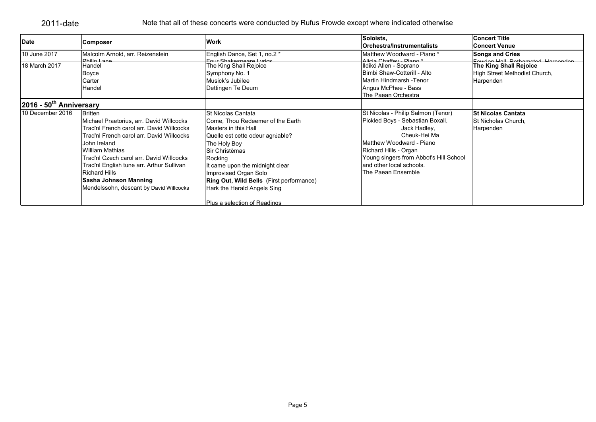| <b>Date</b>                           | Composer                                  | <b>Work</b>                                     | Soloists,                              | <b>Concert Title</b>              |
|---------------------------------------|-------------------------------------------|-------------------------------------------------|----------------------------------------|-----------------------------------|
|                                       |                                           |                                                 | Orchestra/Instrumentalists             | <b>Concert Venue</b>              |
| 10 June 2017                          | Malcolm Arnold, arr. Reizenstein          | English Dance, Set 1, no.2 *                    | Matthew Woodward - Piano *             | <b>Songs and Cries</b>            |
| 18 March 2017                         | Dhilin Long<br>Handel                     | Four Shakespeare Lyrics                         | Alicia Chaffey Piano*                  | Equidan Hall Pathometod Harnandon |
|                                       |                                           | The King Shall Rejoice                          | Ildikó Allen - Soprano                 | <b>The King Shall Rejoice</b>     |
|                                       | Boyce                                     | Symphony No. 1                                  | Bimbi Shaw-Cotterill - Alto            | High Street Methodist Church,     |
|                                       | Carter                                    | Musick's Jubilee                                | Martin Hindmarsh -Tenor                | Harpenden                         |
|                                       | <b>Handel</b>                             | Dettingen Te Deum                               | Angus McPhee - Bass                    |                                   |
|                                       |                                           |                                                 | The Paean Orchestra                    |                                   |
| $2016 - 50$ <sup>th</sup> Anniversary |                                           |                                                 |                                        |                                   |
| 10 December 2016                      | <b>Britten</b>                            | St Nicolas Cantata                              | St Nicolas - Philip Salmon (Tenor)     | <b>St Nicolas Cantata</b>         |
|                                       | Michael Praetorius, arr. David Willcocks  | Come, Thou Redeemer of the Earth                | Pickled Boys - Sebastian Boxall,       | St Nicholas Church,               |
|                                       | Trad'nl French carol arr. David Willcocks | Masters in this Hall                            | Jack Hadley,                           | Harpenden                         |
|                                       | Trad'nl French carol arr. David Willcocks | Quelle est cette odeur agréable?                | Cheuk-Hei Ma                           |                                   |
|                                       | John Ireland                              | The Holy Boy                                    | Matthew Woodward - Piano               |                                   |
|                                       | William Mathias                           | Sir Christèmas                                  | Richard Hills - Organ                  |                                   |
|                                       | Trad'nl Czech carol arr. David Willcocks  | Rocking                                         | Young singers from Abbot's Hill School |                                   |
|                                       | Trad'nl English tune arr. Arthur Sullivan | It came upon the midnight clear                 | and other local schools.               |                                   |
|                                       | <b>Richard Hills</b>                      | Improvised Organ Solo                           | The Paean Ensemble                     |                                   |
|                                       | Sasha Johnson Manning                     | <b>Ring Out, Wild Bells</b> (First performance) |                                        |                                   |
|                                       | Mendelssohn, descant by David Willcocks   | Hark the Herald Angels Sing                     |                                        |                                   |
|                                       |                                           | Plus a selection of Readings                    |                                        |                                   |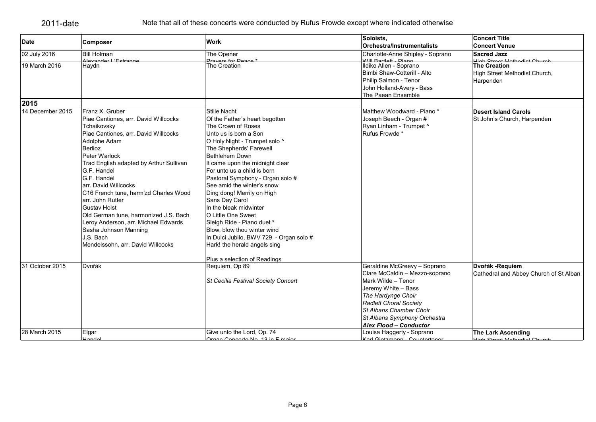| <b>Date</b>      | <b>Composer</b>                         | <b>Work</b>                             | Soloists,                                     | <b>Concert Title</b>                                   |
|------------------|-----------------------------------------|-----------------------------------------|-----------------------------------------------|--------------------------------------------------------|
|                  |                                         |                                         | Orchestra/Instrumentalists                    | <b>Concert Venue</b>                                   |
| 02 July 2016     | <b>Bill Holman</b>                      | The Opener                              | Charlotte-Anne Shipley - Soprano              | <b>Sacred Jazz</b>                                     |
| 19 March 2016    | Nevender L'Estr<br>Haydn                | Dravers for Degre<br>The Creation       | Will Rortlett Dione<br>Ildiko Allen - Soprano | <u>Liab Ctroot Mothodiet Ch</u><br><b>The Creation</b> |
|                  |                                         |                                         | Bimbi Shaw-Cotterill - Alto                   | High Street Methodist Church,                          |
|                  |                                         |                                         | Philip Salmon - Tenor                         | Harpenden                                              |
|                  |                                         |                                         | John Holland-Avery - Bass                     |                                                        |
|                  |                                         |                                         | The Paean Ensemble                            |                                                        |
| 2015             |                                         |                                         |                                               |                                                        |
| 14 December 2015 | Franz X. Gruber                         | <b>Stille Nacht</b>                     | Matthew Woodward - Piano *                    | <b>Desert Island Carols</b>                            |
|                  | Piae Cantiones, arr. David Willcocks    | Of the Father's heart begotten          | Joseph Beech - Organ #                        | St John's Church, Harpenden                            |
|                  | Tchaikovsky                             | The Crown of Roses                      | Ryan Linham - Trumpet ^                       |                                                        |
|                  | Piae Cantiones, arr. David Willcocks    | Unto us is born a Son                   | Rufus Frowde *                                |                                                        |
|                  | Adolphe Adam                            | O Holy Night - Trumpet solo ^           |                                               |                                                        |
|                  | <b>Berlioz</b>                          | The Shepherds' Farewell                 |                                               |                                                        |
|                  | Peter Warlock                           | Bethlehem Down                          |                                               |                                                        |
|                  | Trad English adapted by Arthur Sullivan | It came upon the midnight clear         |                                               |                                                        |
|                  | G.F. Handel                             | For unto us a child is born             |                                               |                                                        |
|                  | G.F. Handel                             | Pastoral Symphony - Organ solo #        |                                               |                                                        |
|                  | arr. David Willcocks                    | See amid the winter's snow              |                                               |                                                        |
|                  | C16 French tune, harm'zd Charles Wood   | Ding dong! Merrily on High              |                                               |                                                        |
|                  | arr. John Rutter                        | Sans Day Carol                          |                                               |                                                        |
|                  | <b>Gustav Holst</b>                     | In the bleak midwinter                  |                                               |                                                        |
|                  | Old German tune, harmonized J.S. Bach   | O Little One Sweet                      |                                               |                                                        |
|                  | Leroy Anderson, arr. Michael Edwards    | Sleigh Ride - Piano duet *              |                                               |                                                        |
|                  | Sasha Johnson Manning                   | Blow, blow thou winter wind             |                                               |                                                        |
|                  | J.S. Bach                               | In Dulci Jubilo, BWV 729 - Organ solo # |                                               |                                                        |
|                  | Mendelssohn, arr. David Willcocks       | Hark! the herald angels sing            |                                               |                                                        |
|                  |                                         | Plus a selection of Readings            |                                               |                                                        |
| 31 October 2015  | Dvořák                                  | Requiem, Op 89                          | Geraldine McGreevy - Soprano                  | Dvořák - Requiem                                       |
|                  |                                         |                                         | Clare McCaldin - Mezzo-soprano                | Cathedral and Abbey Church of St Alban                 |
|                  |                                         | St Cecilia Festival Society Concert     | Mark Wilde - Tenor                            |                                                        |
|                  |                                         |                                         | Jeremy White - Bass                           |                                                        |
|                  |                                         |                                         | The Hardynge Choir                            |                                                        |
|                  |                                         |                                         | Radlett Choral Society                        |                                                        |
|                  |                                         |                                         | St Albans Chamber Choir                       |                                                        |
|                  |                                         |                                         | St Albans Symphony Orchestra                  |                                                        |
|                  |                                         |                                         | <b>Alex Flood - Conductor</b>                 |                                                        |
| 28 March 2015    | Elgar                                   | Give unto the Lord, Op. 74              | Louisa Haggerty - Soprano                     | The Lark Ascending                                     |
|                  | لملمممك                                 | Organ Concerto No. 13 in E maior        | Karl Cietzmann Countertener                   | <b>Ligh Ctroot Mothodiet Church</b>                    |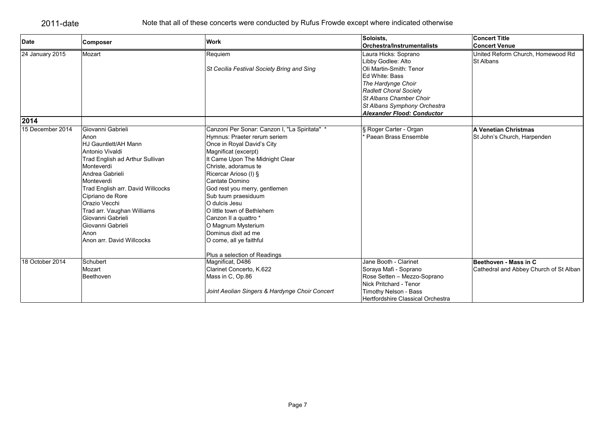| <b>Date</b>      | Composer                          | <b>Work</b>                                                | Soloists,                                                                                                                                           | <b>Concert Title</b>                                  |
|------------------|-----------------------------------|------------------------------------------------------------|-----------------------------------------------------------------------------------------------------------------------------------------------------|-------------------------------------------------------|
|                  |                                   |                                                            | <b>Orchestra/Instrumentalists</b>                                                                                                                   | <b>Concert Venue</b>                                  |
| 24 January 2015  | Mozart                            | Requiem<br>St Cecilia Festival Society Bring and Sing      | Laura Hicks: Soprano<br>Libby Godlee: Alto<br>Oli Martin-Smith: Tenor<br>Ed White: Bass                                                             | United Reform Church, Homewood Rd<br><b>St Albans</b> |
|                  |                                   |                                                            | The Hardynge Choir<br><b>Radlett Choral Society</b><br>St Albans Chamber Choir<br>St Albans Symphony Orchestra<br><b>Alexander Flood: Conductor</b> |                                                       |
| 2014             |                                   |                                                            |                                                                                                                                                     |                                                       |
| 15 December 2014 | Giovanni Gabrieli                 | Canzoni Per Sonar: Canzon I, "La Spiritata" *              | § Roger Carter - Organ                                                                                                                              | A Venetian Christmas                                  |
|                  | Anon<br>HJ Gauntlett/AH Mann      | Hymnus: Praeter rerum seriem<br>Once in Royal David's City | Paean Brass Ensemble                                                                                                                                | St John's Church, Harpenden                           |
|                  | Antonio Vivaldi                   | Magnificat (excerpt)                                       |                                                                                                                                                     |                                                       |
|                  | Trad English ad Arthur Sullivan   | It Came Upon The Midnight Clear                            |                                                                                                                                                     |                                                       |
|                  | Monteverdi                        | Christe, adoramus te                                       |                                                                                                                                                     |                                                       |
|                  | Andrea Gabrieli                   | Ricercar Arioso (I) §                                      |                                                                                                                                                     |                                                       |
|                  | Monteverdi                        | Cantate Domino                                             |                                                                                                                                                     |                                                       |
|                  | Trad English arr. David Willcocks | God rest you merry, gentlemen                              |                                                                                                                                                     |                                                       |
|                  | Cipriano de Rore                  | Sub tuum praesiduum                                        |                                                                                                                                                     |                                                       |
|                  | Orazio Vecchi                     | O dulcis Jesu                                              |                                                                                                                                                     |                                                       |
|                  | Trad arr. Vaughan Williams        | O little town of Bethlehem                                 |                                                                                                                                                     |                                                       |
|                  | Giovanni Gabrieli                 | Canzon II a quattro *                                      |                                                                                                                                                     |                                                       |
|                  | Giovanni Gabrieli                 | O Magnum Mysterium                                         |                                                                                                                                                     |                                                       |
|                  | Anon                              | Dominus dixit ad me                                        |                                                                                                                                                     |                                                       |
|                  | Anon arr. David Willcocks         | O come, all ye faithful                                    |                                                                                                                                                     |                                                       |
|                  |                                   | Plus a selection of Readings                               |                                                                                                                                                     |                                                       |
| 18 October 2014  | Schubert                          | Magnificat, D486                                           | Jane Booth - Clarinet                                                                                                                               | Beethoven - Mass in C                                 |
|                  | Mozart                            | Clarinet Concerto, K.622                                   | Soraya Mafi - Soprano                                                                                                                               | Cathedral and Abbey Church of St Alban                |
|                  | Beethoven                         | Mass in C, Op.86                                           | Rose Setten - Mezzo-Soprano                                                                                                                         |                                                       |
|                  |                                   |                                                            | Nick Pritchard - Tenor                                                                                                                              |                                                       |
|                  |                                   | Joint Aeolian Singers & Hardynge Choir Concert             | Timothy Nelson - Bass                                                                                                                               |                                                       |
|                  |                                   |                                                            | Hertfordshire Classical Orchestra                                                                                                                   |                                                       |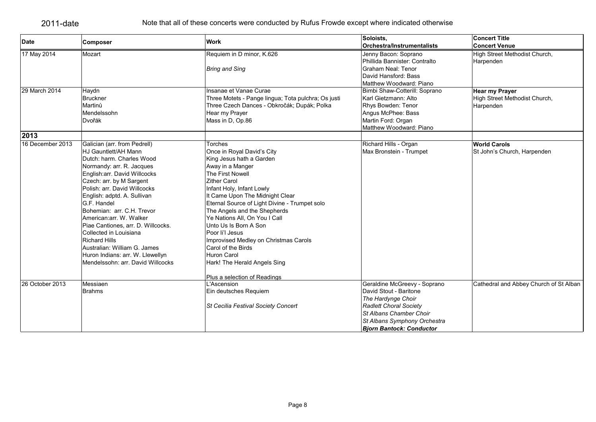| <b>Date</b>      |                                    | <b>Work</b>                                         | Soloists.                       | <b>Concert Title</b>                   |
|------------------|------------------------------------|-----------------------------------------------------|---------------------------------|----------------------------------------|
|                  | <b>Composer</b>                    |                                                     | Orchestra/Instrumentalists      | <b>Concert Venue</b>                   |
| 17 May 2014      | Mozart                             | Requiem in D minor, K.626                           | Jenny Bacon: Soprano            | High Street Methodist Church,          |
|                  |                                    |                                                     | Phillida Bannister: Contralto   | Harpenden                              |
|                  |                                    | <b>Bring and Sing</b>                               | <b>Graham Neal: Tenor</b>       |                                        |
|                  |                                    |                                                     | David Hansford: Bass            |                                        |
|                  |                                    |                                                     | Matthew Woodward: Piano         |                                        |
| 29 March 2014    | Haydn                              | Insanae et Vanae Curae                              | Bimbi Shaw-Cotterill: Soprano   | <b>Hear my Prayer</b>                  |
|                  | <b>Bruckner</b>                    | Three Motets - Pange lingua; Tota pulchra; Os justi | Karl Gietzmann: Alto            | High Street Methodist Church,          |
|                  | Martinů                            | Three Czech Dances - Obkročák; Dupák; Polka         | Rhys Bowden: Tenor              | Harpenden                              |
|                  | Mendelssohn                        | Hear my Prayer                                      | Angus McPhee: Bass              |                                        |
|                  | Dvořák                             | Mass in D, Op.86                                    | Martin Ford: Organ              |                                        |
|                  |                                    |                                                     | Matthew Woodward: Piano         |                                        |
| 2013             |                                    |                                                     |                                 |                                        |
| 16 December 2013 | Galician (arr. from Pedrell)       | Torches                                             | Richard Hills - Organ           | <b>World Carols</b>                    |
|                  | HJ Gauntlett/AH Mann               | Once in Royal David's City                          | Max Bronstein - Trumpet         | St John's Church, Harpenden            |
|                  | Dutch: harm. Charles Wood          | King Jesus hath a Garden                            |                                 |                                        |
|                  | Normandy: arr. R. Jacques          | Away in a Manger                                    |                                 |                                        |
|                  | English: arr. David Willcocks      | The First Nowell                                    |                                 |                                        |
|                  | Czech: arr. by M Sargent           | <b>Zither Carol</b>                                 |                                 |                                        |
|                  | Polish: arr. David Willcocks       | Infant Holy, Infant Lowly                           |                                 |                                        |
|                  | English: adptd. A. Sullivan        | It Came Upon The Midnight Clear                     |                                 |                                        |
|                  | G.F. Handel                        | Eternal Source of Light Divine - Trumpet solo       |                                 |                                        |
|                  | Bohemian: arr. C.H. Trevor         | The Angels and the Shepherds                        |                                 |                                        |
|                  | American: arr. W. Walker           | Ye Nations All, On You I Call                       |                                 |                                        |
|                  | Piae Cantiones, arr. D. Willcocks. | Unto Us Is Born A Son                               |                                 |                                        |
|                  | Collected in Louisiana             | Poor li'l Jesus                                     |                                 |                                        |
|                  | <b>Richard Hills</b>               | Improvised Medley on Christmas Carols               |                                 |                                        |
|                  | Australian: William G. James       | Carol of the Birds                                  |                                 |                                        |
|                  | Huron Indians: arr. W. Llewellyn   | <b>Huron Carol</b>                                  |                                 |                                        |
|                  | Mendelssohn: arr. David Willcocks  | Hark! The Herald Angels Sing                        |                                 |                                        |
|                  |                                    | Plus a selection of Readings                        |                                 |                                        |
| 26 October 2013  | Messiaen                           | L'Ascension                                         | Geraldine McGreevy - Soprano    | Cathedral and Abbey Church of St Alban |
|                  | <b>Brahms</b>                      | Ein deutsches Requiem                               | David Stout - Baritone          |                                        |
|                  |                                    |                                                     | The Hardynge Choir              |                                        |
|                  |                                    | St Cecilia Festival Society Concert                 | <b>Radlett Choral Society</b>   |                                        |
|                  |                                    |                                                     | St Albans Chamber Choir         |                                        |
|                  |                                    |                                                     | St Albans Symphony Orchestra    |                                        |
|                  |                                    |                                                     | <b>Biorn Bantock: Conductor</b> |                                        |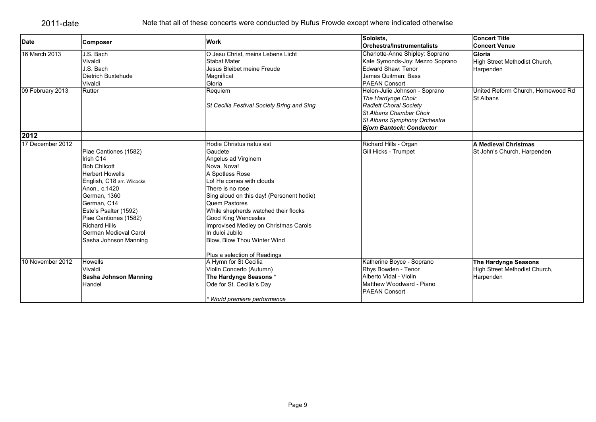| <b>Date</b>      | <b>Composer</b>            | <b>Work</b>                                | Soloists.                                                | <b>Concert Title</b>                                  |
|------------------|----------------------------|--------------------------------------------|----------------------------------------------------------|-------------------------------------------------------|
|                  |                            |                                            | <b>Orchestra/Instrumentalists</b>                        | <b>Concert Venue</b>                                  |
| 16 March 2013    | J.S. Bach                  | O Jesu Christ, meins Lebens Licht          | Charlotte-Anne Shipley: Soprano                          | Gloria                                                |
|                  | Vivaldi                    | <b>Stabat Mater</b>                        | Kate Symonds-Joy: Mezzo Soprano                          | High Street Methodist Church,                         |
|                  | J.S. Bach                  | Jesus Bleibet meine Freude                 | Edward Shaw: Tenor                                       | Harpenden                                             |
|                  | Dietrich Buxtehude         | Magnificat                                 | James Quitman: Bass                                      |                                                       |
|                  | Vivaldi                    | Gloria                                     | PAEAN Consort                                            |                                                       |
| 09 February 2013 | Rutter                     | Requiem                                    | Helen-Julie Johnson - Soprano                            | United Reform Church, Homewood Rd<br><b>St Albans</b> |
|                  |                            |                                            | The Hardynge Choir                                       |                                                       |
|                  |                            | St Cecilia Festival Society Bring and Sing | <b>Radlett Choral Society</b><br>St Albans Chamber Choir |                                                       |
|                  |                            |                                            | St Albans Symphony Orchestra                             |                                                       |
|                  |                            |                                            |                                                          |                                                       |
| 2012             |                            |                                            | <b>Bjorn Bantock: Conductor</b>                          |                                                       |
| 17 December 2012 |                            |                                            |                                                          |                                                       |
|                  |                            | Hodie Christus natus est                   | Richard Hills - Organ                                    | A Medieval Christmas                                  |
|                  | Piae Cantiones (1582)      | Gaudete                                    | Gill Hicks - Trumpet                                     | St John's Church, Harpenden                           |
|                  | Irish C14                  | Angelus ad Virginem                        |                                                          |                                                       |
|                  | <b>Bob Chilcott</b>        | Nova, Nova!                                |                                                          |                                                       |
|                  | <b>Herbert Howells</b>     | A Spotless Rose                            |                                                          |                                                       |
|                  | English, C18 arr. Wilcocks | Lo! He comes with clouds                   |                                                          |                                                       |
|                  | Anon., c.1420              | There is no rose                           |                                                          |                                                       |
|                  | German, 1360               | Sing aloud on this day! (Personent hodie)  |                                                          |                                                       |
|                  | German, C14                | <b>Quem Pastores</b>                       |                                                          |                                                       |
|                  | Este's Psalter (1592)      | While shepherds watched their flocks       |                                                          |                                                       |
|                  | Piae Cantiones (1582)      | Good King Wenceslas                        |                                                          |                                                       |
|                  | <b>Richard Hills</b>       | Improvised Medley on Christmas Carols      |                                                          |                                                       |
|                  | German Medieval Carol      | In dulci Jubilo                            |                                                          |                                                       |
|                  | Sasha Johnson Manning      | Blow, Blow Thou Winter Wind                |                                                          |                                                       |
|                  |                            | Plus a selection of Readings               |                                                          |                                                       |
| 10 November 2012 | <b>Howells</b>             | A Hymn for St Cecilia                      | Katherine Boyce - Soprano                                | <b>The Hardynge Seasons</b>                           |
|                  | Vivaldi                    | Violin Concerto (Autumn)                   | Rhys Bowden - Tenor                                      | High Street Methodist Church,                         |
|                  | Sasha Johnson Manning      | The Hardynge Seasons *                     | Alberto Vidal - Violin                                   | Harpenden                                             |
|                  | Handel                     | Ode for St. Cecilia's Day                  | Matthew Woodward - Piano                                 |                                                       |
|                  |                            |                                            | <b>PAEAN Consort</b>                                     |                                                       |
|                  |                            | * World premiere performance               |                                                          |                                                       |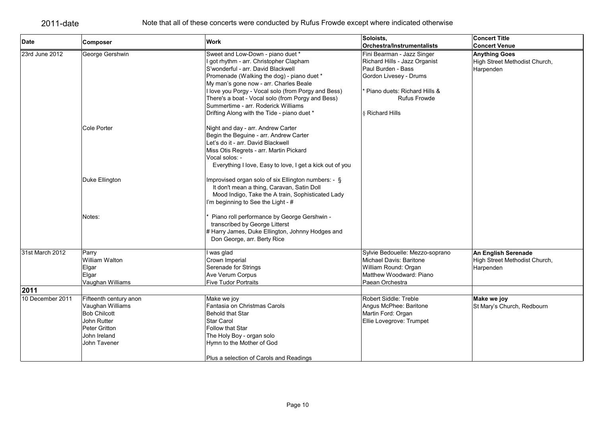| <b>Date</b>      | Composer                  | <b>Work</b>                                                                              | Soloists,                                                        | <b>Concert Title</b>          |
|------------------|---------------------------|------------------------------------------------------------------------------------------|------------------------------------------------------------------|-------------------------------|
|                  |                           |                                                                                          | <b>Orchestra/Instrumentalists</b>                                | <b>Concert Venue</b>          |
| 23rd June 2012   | George Gershwin           | Sweet and Low-Down - piano duet *                                                        | Fini Bearman - Jazz Singer                                       | <b>Anything Goes</b>          |
|                  |                           | I got rhythm - arr. Christopher Clapham                                                  | Richard Hills - Jazz Organist<br>Paul Burden - Bass              | High Street Methodist Church, |
|                  |                           | S'wonderful - arr. David Blackwell                                                       |                                                                  | Harpenden                     |
|                  |                           | Promenade (Walking the dog) - piano duet *                                               | Gordon Livesey - Drums                                           |                               |
|                  |                           | My man's gone now - arr. Charles Beale                                                   |                                                                  |                               |
|                  |                           | I love you Porgy - Vocal solo (from Porgy and Bess)                                      | <sup>*</sup> Piano duets: Richard Hills &<br><b>Rufus Frowde</b> |                               |
|                  |                           | There's a boat - Vocal solo (from Porgy and Bess)<br>Summertime - arr. Roderick Williams |                                                                  |                               |
|                  |                           | Drifting Along with the Tide - piano duet *                                              | <b>8 Richard Hills</b>                                           |                               |
|                  |                           |                                                                                          |                                                                  |                               |
|                  | Cole Porter               | Night and day - arr. Andrew Carter                                                       |                                                                  |                               |
|                  |                           | Begin the Beguine - arr. Andrew Carter                                                   |                                                                  |                               |
|                  |                           | Let's do it - arr. David Blackwell                                                       |                                                                  |                               |
|                  |                           | Miss Otis Regrets - arr. Martin Pickard                                                  |                                                                  |                               |
|                  |                           | Vocal solos: -                                                                           |                                                                  |                               |
|                  |                           | Everything I love, Easy to love, I get a kick out of you                                 |                                                                  |                               |
|                  |                           |                                                                                          |                                                                  |                               |
|                  | Duke Ellington            | Improvised organ solo of six Ellington numbers: - §                                      |                                                                  |                               |
|                  |                           | It don't mean a thing, Caravan, Satin Doll                                               |                                                                  |                               |
|                  |                           | Mood Indigo, Take the A train, Sophisticated Lady                                        |                                                                  |                               |
|                  |                           | I'm beginning to See the Light - #                                                       |                                                                  |                               |
|                  | Notes:                    | Piano roll performance by George Gershwin -                                              |                                                                  |                               |
|                  |                           | transcribed by George Litterst                                                           |                                                                  |                               |
|                  |                           | # Harry James, Duke Ellington, Johnny Hodges and                                         |                                                                  |                               |
|                  |                           | Don George, arr. Berty Rice                                                              |                                                                  |                               |
| 31st March 2012  |                           |                                                                                          | Sylvie Bedouelle: Mezzo-soprano                                  |                               |
|                  | Parry<br>William Walton   | I was glad                                                                               | <b>Michael Davis: Baritone</b>                                   | An English Serenade           |
|                  |                           | Crown Imperial                                                                           |                                                                  | High Street Methodist Church, |
|                  | Elgar                     | Serenade for Strings<br><b>Ave Verum Corpus</b>                                          | William Round: Organ<br>Matthew Woodward: Piano                  | Harpenden                     |
|                  | Elgar<br>Vaughan Williams | <b>Five Tudor Portraits</b>                                                              | Paean Orchestra                                                  |                               |
| 2011             |                           |                                                                                          |                                                                  |                               |
| 10 December 2011 | Fifteenth century anon    | Make we joy                                                                              | Robert Siddle: Treble                                            | Make we joy                   |
|                  | Vaughan Williams          | Fantasia on Christmas Carols                                                             | Angus McPhee: Baritone                                           | St Mary's Church, Redbourn    |
|                  | <b>Bob Chilcott</b>       | Behold that Star                                                                         | Martin Ford: Organ                                               |                               |
|                  | John Rutter               | Star Carol                                                                               | Ellie Lovegrove: Trumpet                                         |                               |
|                  | <b>Peter Gritton</b>      | <b>Follow that Star</b>                                                                  |                                                                  |                               |
|                  | John Ireland              | The Holy Boy - organ solo                                                                |                                                                  |                               |
|                  | John Tavener              | Hymn to the Mother of God                                                                |                                                                  |                               |
|                  |                           |                                                                                          |                                                                  |                               |
|                  |                           | Plus a selection of Carols and Readings                                                  |                                                                  |                               |